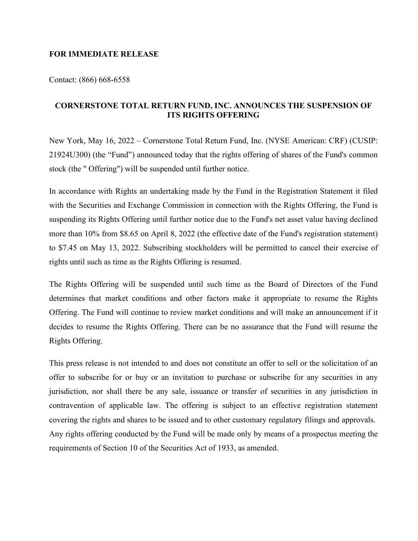## **FOR IMMEDIATE RELEASE**

Contact: (866) 668-6558

## **CORNERSTONE TOTAL RETURN FUND, INC. ANNOUNCES THE SUSPENSION OF ITS RIGHTS OFFERING**

New York, May 16, 2022 – Cornerstone Total Return Fund, Inc. (NYSE American: CRF) (CUSIP: 21924U300) (the "Fund") announced today that the rights offering of shares of the Fund's common stock (the " Offering") will be suspended until further notice.

In accordance with Rights an undertaking made by the Fund in the Registration Statement it filed with the Securities and Exchange Commission in connection with the Rights Offering, the Fund is suspending its Rights Offering until further notice due to the Fund's net asset value having declined more than 10% from \$8.65 on April 8, 2022 (the effective date of the Fund's registration statement) to \$7.45 on May 13, 2022. Subscribing stockholders will be permitted to cancel their exercise of rights until such as time as the Rights Offering is resumed.

The Rights Offering will be suspended until such time as the Board of Directors of the Fund determines that market conditions and other factors make it appropriate to resume the Rights Offering. The Fund will continue to review market conditions and will make an announcement if it decides to resume the Rights Offering. There can be no assurance that the Fund will resume the Rights Offering.

This press release is not intended to and does not constitute an offer to sell or the solicitation of an offer to subscribe for or buy or an invitation to purchase or subscribe for any securities in any jurisdiction, nor shall there be any sale, issuance or transfer of securities in any jurisdiction in contravention of applicable law. The offering is subject to an effective registration statement covering the rights and shares to be issued and to other customary regulatory filings and approvals. Any rights offering conducted by the Fund will be made only by means of a prospectus meeting the requirements of Section 10 of the Securities Act of 1933, as amended.